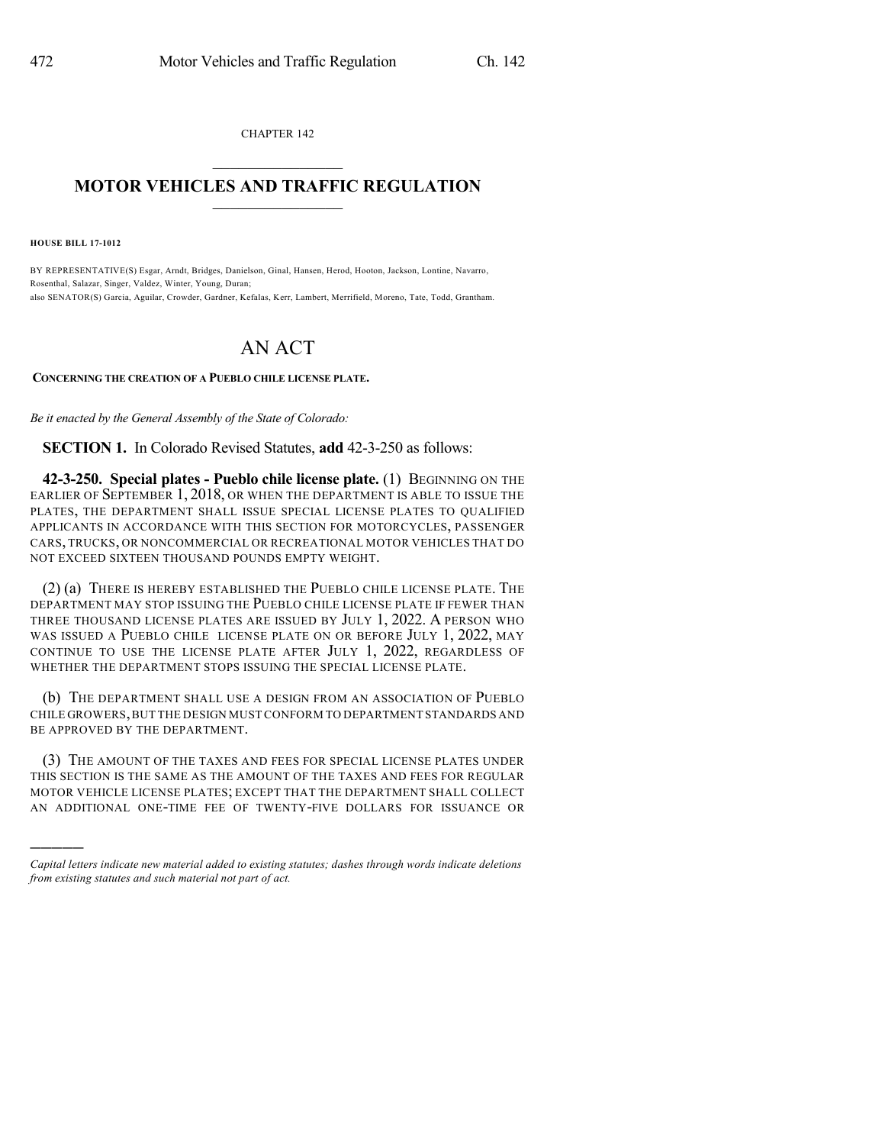CHAPTER 142

## $\overline{\phantom{a}}$  . The set of the set of the set of the set of the set of the set of the set of the set of the set of the set of the set of the set of the set of the set of the set of the set of the set of the set of the set o **MOTOR VEHICLES AND TRAFFIC REGULATION**  $\frac{1}{2}$  ,  $\frac{1}{2}$  ,  $\frac{1}{2}$  ,  $\frac{1}{2}$  ,  $\frac{1}{2}$  ,  $\frac{1}{2}$  ,  $\frac{1}{2}$

**HOUSE BILL 17-1012**

)))))

BY REPRESENTATIVE(S) Esgar, Arndt, Bridges, Danielson, Ginal, Hansen, Herod, Hooton, Jackson, Lontine, Navarro, Rosenthal, Salazar, Singer, Valdez, Winter, Young, Duran; also SENATOR(S) Garcia, Aguilar, Crowder, Gardner, Kefalas, Kerr, Lambert, Merrifield, Moreno, Tate, Todd, Grantham.

## AN ACT

## **CONCERNING THE CREATION OF A PUEBLO CHILE LICENSE PLATE.**

*Be it enacted by the General Assembly of the State of Colorado:*

**SECTION 1.** In Colorado Revised Statutes, **add** 42-3-250 as follows:

**42-3-250. Special plates - Pueblo chile license plate.** (1) BEGINNING ON THE EARLIER OF SEPTEMBER 1, 2018, OR WHEN THE DEPARTMENT IS ABLE TO ISSUE THE PLATES, THE DEPARTMENT SHALL ISSUE SPECIAL LICENSE PLATES TO QUALIFIED APPLICANTS IN ACCORDANCE WITH THIS SECTION FOR MOTORCYCLES, PASSENGER CARS, TRUCKS, OR NONCOMMERCIAL OR RECREATIONAL MOTOR VEHICLES THAT DO NOT EXCEED SIXTEEN THOUSAND POUNDS EMPTY WEIGHT.

(2) (a) THERE IS HEREBY ESTABLISHED THE PUEBLO CHILE LICENSE PLATE. THE DEPARTMENT MAY STOP ISSUING THE PUEBLO CHILE LICENSE PLATE IF FEWER THAN THREE THOUSAND LICENSE PLATES ARE ISSUED BY JULY 1, 2022. A PERSON WHO WAS ISSUED A PUEBLO CHILE LICENSE PLATE ON OR BEFORE JULY 1, 2022, MAY CONTINUE TO USE THE LICENSE PLATE AFTER JULY 1, 2022, REGARDLESS OF WHETHER THE DEPARTMENT STOPS ISSUING THE SPECIAL LICENSE PLATE.

(b) THE DEPARTMENT SHALL USE A DESIGN FROM AN ASSOCIATION OF PUEBLO CHILE GROWERS,BUT THE DESIGN MUST CONFORM TO DEPARTMENT STANDARDS AND BE APPROVED BY THE DEPARTMENT.

(3) THE AMOUNT OF THE TAXES AND FEES FOR SPECIAL LICENSE PLATES UNDER THIS SECTION IS THE SAME AS THE AMOUNT OF THE TAXES AND FEES FOR REGULAR MOTOR VEHICLE LICENSE PLATES; EXCEPT THAT THE DEPARTMENT SHALL COLLECT AN ADDITIONAL ONE-TIME FEE OF TWENTY-FIVE DOLLARS FOR ISSUANCE OR

*Capital letters indicate new material added to existing statutes; dashes through words indicate deletions from existing statutes and such material not part of act.*